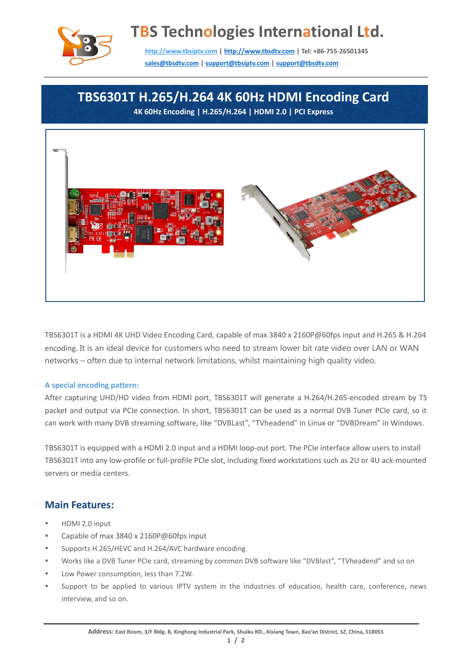

# **TBS Technologies International Ltd.**

**[http://www.tbsiptv.com](http://www.tbsiptv.com/) [| http://www.tbsdtv.com](http://www.tbsdtv.com/) | Tel: +86-755-26501345 [sales@tbsdtv.com](mailto:sales@tbsdtv.com) [| support@tbsiptv.com](mailto:support@tbsiptv.com) [| support@tbsdtv.com](mailto:support@tbsdtv.com)**

## **TBS6301T H.265/H.264 4K 60Hz HDMI Encoding Card**

**4K 60Hz Encoding | H.265/H.264 | HDMI 2.0 | PCI Express**



TBS6301T is a HDMI 4K UHD Video Encoding Card, capable of max 3840 x 2160P@60fps input and H.265 & H.264 encoding. It is an ideal device for customers who need to stream lower bit rate video over LAN or WAN networks – often due to internal network limitations, whilst maintaining high quality video.

#### **A special encoding pattern:**

After capturing UHD/HD video from HDMI port, TBS6301T will generate a H.264/H.265-encoded stream by TS packet and output via PCIe connection. In short, TBS6301T can be used as a normal DVB Tuner PCIe card, so it can work with many DVB streaming software, like "DVBLast", "TVheadend" in Linux or "DVBDream" in Windows.

TBS6301T is equipped with a HDMI 2.0 input and a HDMI loop-out port. The PCIe interface allow users to install TBS6301T into any low-profile or full-profile PCIe slot, including fixed workstations such as 2U or 4U ack-mounted servers or media centers.

### **Main Features:**

- HDMI 2.0 input
- Capable of max 3840 x 2160P@60fps input
- Supports H.265/HEVC and H.264/AVC hardware encoding
- Works like a DVB Tuner PCIe card, streaming by common DVB software like "DVBlast", "TVheadend" and so on
- Low Power consumption, less than 7.2W.
- Support to be applied to various IPTV system in the industries of education, health care, conference, news interview, and so on.